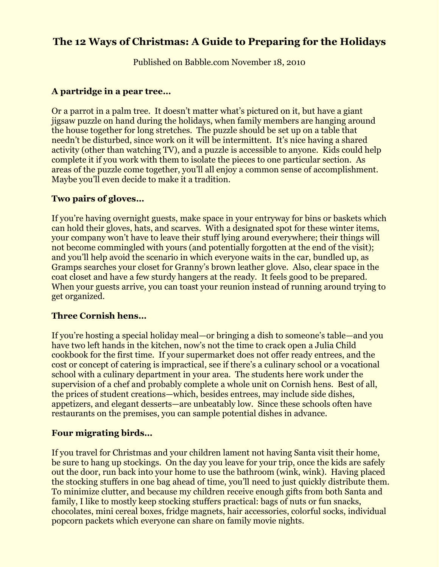# **The 12 Ways of Christmas: A Guide to Preparing for the Holidays**

Published on Babble.com November 18, 2010

#### **A partridge in a pear tree…**

Or a parrot in a palm tree. It doesn't matter what's pictured on it, but have a giant jigsaw puzzle on hand during the holidays, when family members are hanging around the house together for long stretches. The puzzle should be set up on a table that needn't be disturbed, since work on it will be intermittent. It's nice having a shared activity (other than watching TV), and a puzzle is accessible to anyone. Kids could help complete it if you work with them to isolate the pieces to one particular section. As areas of the puzzle come together, you'll all enjoy a common sense of accomplishment. Maybe you'll even decide to make it a tradition.

#### **Two pairs of gloves…**

If you're having overnight guests, make space in your entryway for bins or baskets which can hold their gloves, hats, and scarves. With a designated spot for these winter items, your company won't have to leave their stuff lying around everywhere; their things will not become commingled with yours (and potentially forgotten at the end of the visit); and you'll help avoid the scenario in which everyone waits in the car, bundled up, as Gramps searches your closet for Granny's brown leather glove. Also, clear space in the coat closet and have a few sturdy hangers at the ready. It feels good to be prepared. When your guests arrive, you can toast your reunion instead of running around trying to get organized.

## **Three Cornish hens…**

If you're hosting a special holiday meal—or bringing a dish to someone's table—and you have two left hands in the kitchen, now's not the time to crack open a Julia Child cookbook for the first time. If your supermarket does not offer ready entrees, and the cost or concept of catering is impractical, see if there's a culinary school or a vocational school with a culinary department in your area. The students here work under the supervision of a chef and probably complete a whole unit on Cornish hens. Best of all, the prices of student creations—which, besides entrees, may include side dishes, appetizers, and elegant desserts—are unbeatably low. Since these schools often have restaurants on the premises, you can sample potential dishes in advance.

#### **Four migrating birds…**

If you travel for Christmas and your children lament not having Santa visit their home, be sure to hang up stockings. On the day you leave for your trip, once the kids are safely out the door, run back into your home to use the bathroom (wink, wink). Having placed the stocking stuffers in one bag ahead of time, you'll need to just quickly distribute them. To minimize clutter, and because my children receive enough gifts from both Santa and family, I like to mostly keep stocking stuffers practical: bags of nuts or fun snacks, chocolates, mini cereal boxes, fridge magnets, hair accessories, colorful socks, individual popcorn packets which everyone can share on family movie nights.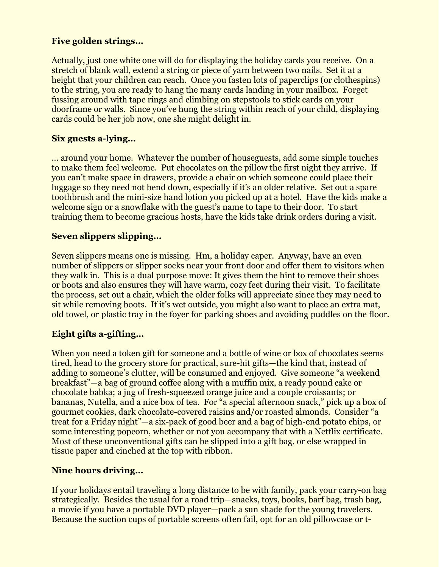# **Five golden strings…**

Actually, just one white one will do for displaying the holiday cards you receive. On a stretch of blank wall, extend a string or piece of yarn between two nails. Set it at a height that your children can reach. Once you fasten lots of paperclips (or clothespins) to the string, you are ready to hang the many cards landing in your mailbox. Forget fussing around with tape rings and climbing on stepstools to stick cards on your doorframe or walls. Since you've hung the string within reach of your child, displaying cards could be her job now, one she might delight in.

## **Six guests a-lying…**

… around your home. Whatever the number of houseguests, add some simple touches to make them feel welcome. Put chocolates on the pillow the first night they arrive. If you can't make space in drawers, provide a chair on which someone could place their luggage so they need not bend down, especially if it's an older relative. Set out a spare toothbrush and the mini-size hand lotion you picked up at a hotel. Have the kids make a welcome sign or a snowflake with the guest's name to tape to their door. To start training them to become gracious hosts, have the kids take drink orders during a visit.

## **Seven slippers slipping…**

Seven slippers means one is missing. Hm, a holiday caper. Anyway, have an even number of slippers or slipper socks near your front door and offer them to visitors when they walk in. This is a dual purpose move: It gives them the hint to remove their shoes or boots and also ensures they will have warm, cozy feet during their visit. To facilitate the process, set out a chair, which the older folks will appreciate since they may need to sit while removing boots. If it's wet outside, you might also want to place an extra mat, old towel, or plastic tray in the foyer for parking shoes and avoiding puddles on the floor.

## **Eight gifts a-gifting…**

When you need a token gift for someone and a bottle of wine or box of chocolates seems tired, head to the grocery store for practical, sure-hit gifts—the kind that, instead of adding to someone's clutter, will be consumed and enjoyed. Give someone "a weekend breakfast"—a bag of ground coffee along with a muffin mix, a ready pound cake or chocolate babka; a jug of fresh-squeezed orange juice and a couple croissants; or bananas, Nutella, and a nice box of tea. For "a special afternoon snack," pick up a box of gourmet cookies, dark chocolate-covered raisins and/or roasted almonds. Consider "a treat for a Friday night"—a six-pack of good beer and a bag of high-end potato chips, or some interesting popcorn, whether or not you accompany that with a Netflix certificate. Most of these unconventional gifts can be slipped into a gift bag, or else wrapped in tissue paper and cinched at the top with ribbon.

## **Nine hours driving…**

If your holidays entail traveling a long distance to be with family, pack your carry-on bag strategically. Besides the usual for a road trip—snacks, toys, books, barf bag, trash bag, a movie if you have a portable DVD player—pack a sun shade for the young travelers. Because the suction cups of portable screens often fail, opt for an old pillowcase or t